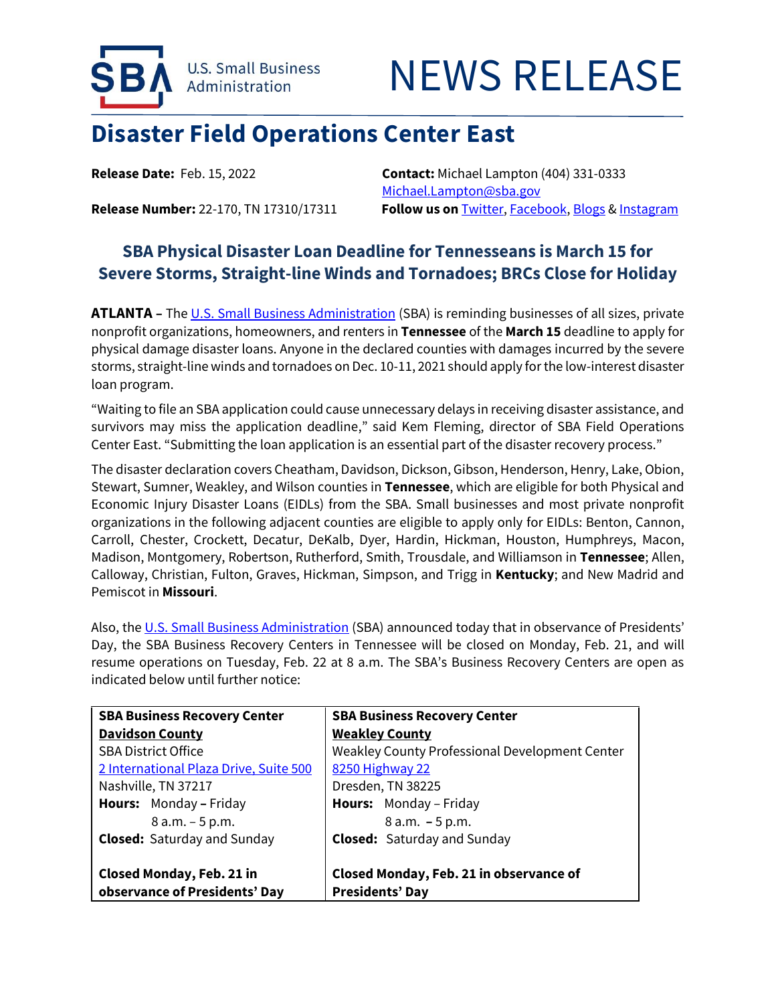



## **Disaster Field Operations Center East**

**Release Date:** Feb. 15, 2022 **Contact:** Michael Lampton (404) 331-0333 [Michael.Lampton@sba.gov](mailto:Michael.Lampton@sba.gov) Release Number: 22-170, TN 17310/17311 Follow us on **[Twitter,](http://www.twitter.com/SBAgov) [Facebook,](http://www.facebook.com/sbagov) [Blogs](http://www.sba.gov/blogs) [& Instagram](https://www.instagram.com/sbagov/)** 

## **SBA Physical Disaster Loan Deadline for Tennesseans is March 15 for Severe Storms, Straight-line Winds and Tornadoes; BRCs Close for Holiday**

ATLANTA - The U.S. [Small Business Administration](https://www.sba.gov/) (SBA) is reminding businesses of all sizes, private nonprofit organizations, homeowners, and renters in **Tennessee** of the **March 15** deadline to apply for physical damage disaster loans. Anyone in the declared counties with damages incurred by the severe storms, straight-line winds and tornadoes on Dec. 10-11, 2021 should apply for the low-interest disaster loan program.

"Waiting to file an SBA application could cause unnecessary delays in receiving disaster assistance, and survivors may miss the application deadline," said Kem Fleming, director of SBA Field Operations Center East. "Submitting the loan application is an essential part of the disaster recovery process."

The disaster declaration covers Cheatham, Davidson, Dickson, Gibson, Henderson, Henry, Lake, Obion, Stewart, Sumner, Weakley, and Wilson counties in **Tennessee**, which are eligible for both Physical and Economic Injury Disaster Loans (EIDLs) from the SBA. Small businesses and most private nonprofit organizations in the following adjacent counties are eligible to apply only for EIDLs: Benton, Cannon, Carroll, Chester, Crockett, Decatur, DeKalb, Dyer, Hardin, Hickman, Houston, Humphreys, Macon, Madison, Montgomery, Robertson, Rutherford, Smith, Trousdale, and Williamson in **Tennessee**; Allen, Calloway, Christian, Fulton, Graves, Hickman, Simpson, and Trigg in **Kentucky**; and New Madrid and Pemiscot in **Missouri**.

Also, the [U.S. Small Business Administration](https://www.sba.gov/) (SBA) announced today that in observance of Presidents' Day, the SBA Business Recovery Centers in Tennessee will be closed on Monday, Feb. 21, and will resume operations on Tuesday, Feb. 22 at 8 a.m. The SBA's Business Recovery Centers are open as indicated below until further notice:

| <b>SBA Business Recovery Center</b>                               | <b>SBA Business Recovery Center</b>                               |
|-------------------------------------------------------------------|-------------------------------------------------------------------|
| <b>Davidson County</b>                                            | <b>Weakley County</b>                                             |
| <b>SBA District Office</b>                                        | Weakley County Professional Development Center                    |
| 2 International Plaza Drive, Suite 500                            | 8250 Highway 22                                                   |
| Nashville, TN 37217                                               | Dresden, TN 38225                                                 |
| <b>Hours:</b> Monday - Friday                                     | <b>Hours:</b> Monday – Friday                                     |
| $8 a.m. - 5 p.m.$                                                 | $8 a.m. - 5 p.m.$                                                 |
| <b>Closed:</b> Saturday and Sunday                                | <b>Closed:</b> Saturday and Sunday                                |
| <b>Closed Monday, Feb. 21 in</b><br>observance of Presidents' Day | Closed Monday, Feb. 21 in observance of<br><b>Presidents' Day</b> |